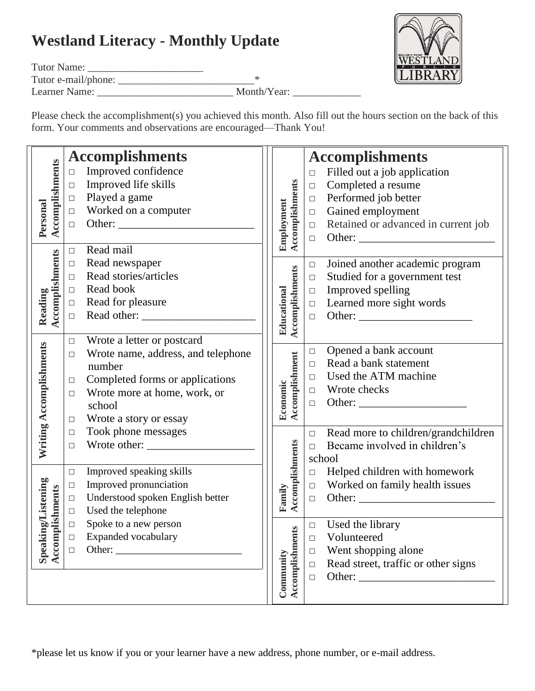## **Westland Literacy - Monthly Update**

Tutor Name: \_\_\_\_\_\_\_\_\_\_\_\_\_\_\_\_\_\_\_\_\_\_

Tutor e-mail/phone: \_\_\_\_\_\_\_\_\_\_\_\_\_\_\_\_\_\_\_\_\_\_\_\_\_\_\*

Learner Name: \_\_\_\_\_\_\_\_\_\_\_\_\_\_\_\_\_\_\_\_\_\_\_\_\_\_ Month/Year: \_\_\_\_\_\_\_\_\_\_\_\_\_

Please check the accomplishment(s) you achieved this month. Also fill out the hours section on the back of this form. Your comments and observations are encouraged—Thank You!

| Accomplishments<br>Personal | <b>Accomplishments</b>                       |                                | <b>Accomplishments</b>                        |
|-----------------------------|----------------------------------------------|--------------------------------|-----------------------------------------------|
|                             | Improved confidence<br>$\Box$                |                                | Filled out a job application<br>$\Box$        |
|                             | Improved life skills<br>$\Box$               |                                | Completed a resume<br>$\Box$                  |
|                             | Played a game<br>$\Box$                      |                                | Performed job better<br>$\Box$                |
|                             | Worked on a computer<br>$\Box$               |                                | Gained employment<br>$\Box$                   |
|                             | $\Box$                                       |                                | Retained or advanced in current job<br>$\Box$ |
|                             |                                              | Accomplishments<br>Employment  | $\Box$                                        |
| Accomplishments<br>Reading  | Read mail<br>$\Box$                          |                                |                                               |
|                             | Read newspaper<br>$\Box$                     |                                | Joined another academic program<br>$\Box$     |
|                             | Read stories/articles<br>$\Box$              |                                | Studied for a government test<br>$\Box$       |
|                             | Read book<br>$\Box$                          |                                | Improved spelling<br>$\Box$                   |
|                             | Read for pleasure<br>$\Box$                  |                                | Learned more sight words<br>$\Box$            |
|                             | $\Box$                                       |                                | $\Box$                                        |
|                             |                                              | Accomplishments<br>Educational |                                               |
| Writing Accomplishments     | Wrote a letter or postcard<br>$\Box$         |                                |                                               |
|                             | Wrote name, address, and telephone<br>$\Box$ |                                | Opened a bank account<br>$\Box$               |
|                             | number                                       |                                | Read a bank statement<br>$\Box$               |
|                             | Completed forms or applications<br>$\Box$    |                                | Used the ATM machine<br>$\Box$                |
|                             | Wrote more at home, work, or<br>$\Box$       |                                | $\Box$ Wrote checks                           |
|                             | school                                       | Accomplishment<br>Economic     | $\Box$                                        |
|                             | Wrote a story or essay<br>$\Box$             |                                |                                               |
|                             | Took phone messages<br>$\Box$                |                                | Read more to children/grandchildren<br>$\Box$ |
|                             | $\Box$                                       |                                | Became involved in children's<br>$\Box$       |
|                             |                                              | Accomplishments                | school                                        |
|                             | Improved speaking skills<br>$\Box$           |                                | Helped children with homework<br>$\Box$       |
|                             | Improved pronunciation<br>$\Box$             |                                | Worked on family health issues<br>$\Box$      |
|                             | Understood spoken English better<br>$\Box$   | Family                         | $\Box$                                        |
| plishments                  | Used the telephone<br>$\Box$                 |                                |                                               |
|                             | Spoke to a new person<br>$\Box$              | <b>Ca</b>                      | Used the library<br>$\Box$                    |
|                             | Expanded vocabulary<br>$\Box$                |                                | Volunteered<br>$\Box$                         |
| Speaking/Listening<br>Accom | $\Box$                                       |                                | Went shopping alone<br>$\Box$                 |
|                             |                                              |                                | Read street, traffic or other signs<br>$\Box$ |
|                             |                                              |                                | $\Box$                                        |
|                             |                                              | Accomplishmer<br>Community     |                                               |
|                             |                                              |                                |                                               |